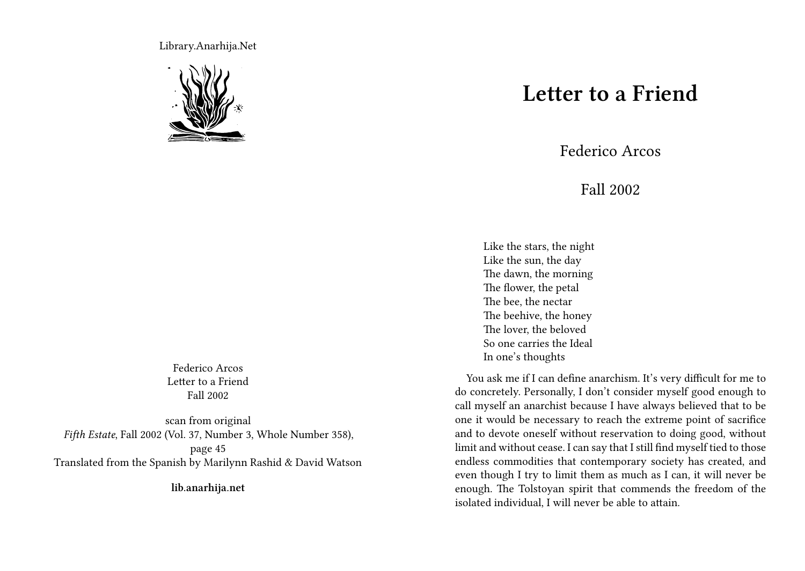Library.Anarhija.Net



Federico Arcos Letter to a Friend Fall 2002

scan from original *Fifth Estate*, Fall 2002 (Vol. 37, Number 3, Whole Number 358), page 45 Translated from the Spanish by Marilynn Rashid & David Watson

**lib.anarhija.net**

## **Letter to a Friend**

Federico Arcos

Fall 2002

Like the stars, the night Like the sun, the day The dawn, the morning The flower, the petal The bee, the nectar The beehive, the honey The lover, the beloved So one carries the Ideal In one's thoughts

You ask me if I can define anarchism. It's very difficult for me to do concretely. Personally, I don't consider myself good enough to call myself an anarchist because I have always believed that to be one it would be necessary to reach the extreme point of sacrifice and to devote oneself without reservation to doing good, without limit and without cease. I can say that I still find myself tied to those endless commodities that contemporary society has created, and even though I try to limit them as much as I can, it will never be enough. The Tolstoyan spirit that commends the freedom of the isolated individual, I will never be able to attain.